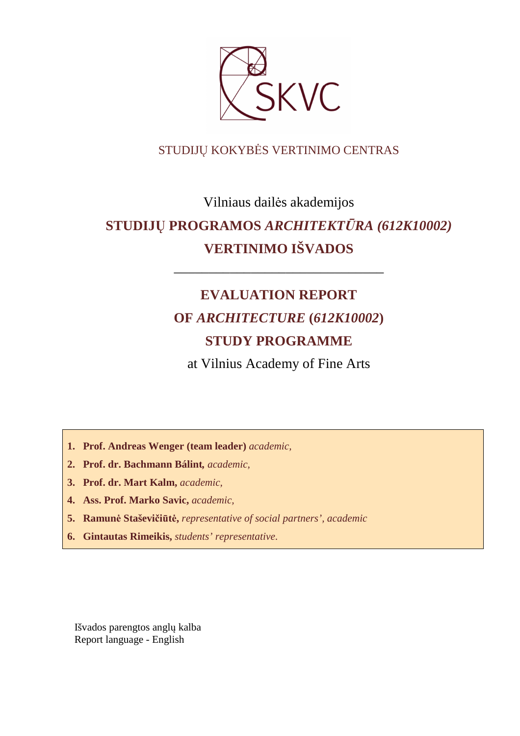

# STUDIJŲ KOKYBĖS VERTINIMO CENTRAS

# Vilniaus dailės akademijos **STUDIJŲ PROGRAMOS** *ARCHITEKTŪRA (612K10002)* **VERTINIMO IŠVADOS**

# **EVALUATION REPORT OF** *ARCHITECTURE* **(***612K10002***) STUDY PROGRAMME**

––––––––––––––––––––––––––––––

at Vilnius Academy of Fine Arts

- **1. Prof. Andreas Wenger (team leader)** *academic,*
- **2. Prof. dr. Bachmann Bálint***, academic,*
- **3. Prof. dr. Mart Kalm,** *academic,*
- **4. Ass. Prof. Marko Savic,** *academic,*
- **5. Ramunė Staševičiūtė,** *representative of social partners', academic*
- **6. Gintautas Rimeikis,** *students' representative*.

Išvados parengtos anglų kalba Report language - English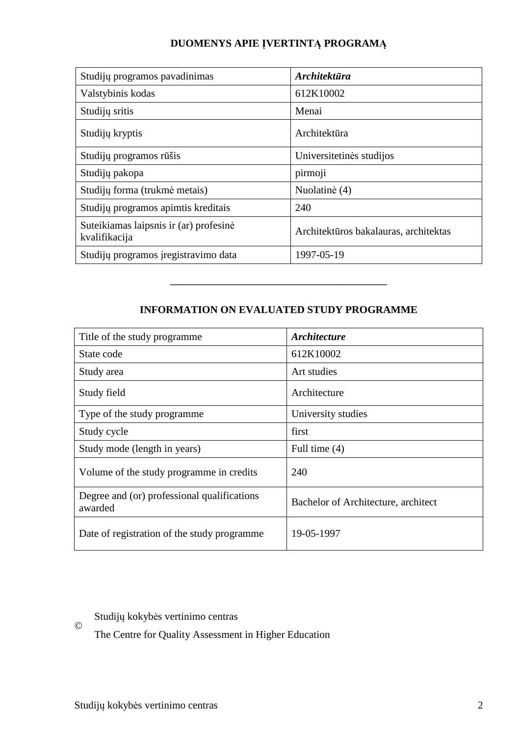# **DUOMENYS APIE ĮVERTINTĄ PROGRAMĄ**

| Studijų programos pavadinimas                           | <b>Architektūra</b>                   |
|---------------------------------------------------------|---------------------------------------|
| Valstybinis kodas                                       | 612K10002                             |
| Studijų sritis                                          | Menai                                 |
| Studijų kryptis                                         | Architektūra                          |
| Studijų programos rūšis                                 | Universitetinės studijos              |
| Studijų pakopa                                          | pirmoji                               |
| Studijų forma (trukmė metais)                           | Nuolatinė (4)                         |
| Studijų programos apimtis kreditais                     | 240                                   |
| Suteikiamas laipsnis ir (ar) profesinė<br>kvalifikacija | Architektūros bakalauras, architektas |
| Studijų programos įregistravimo data                    | 1997-05-19                            |

# **INFORMATION ON EVALUATED STUDY PROGRAMME**

–––––––––––––––––––––––––––––––

| Title of the study programme.                          | <b>Architecture</b>                 |
|--------------------------------------------------------|-------------------------------------|
| State code                                             | 612K10002                           |
| Study area                                             | Art studies                         |
| Study field                                            | Architecture                        |
| Type of the study programme                            | University studies                  |
| Study cycle                                            | first                               |
| Study mode (length in years)                           | Full time $(4)$                     |
| Volume of the study programme in credits               | 240                                 |
| Degree and (or) professional qualifications<br>awarded | Bachelor of Architecture, architect |
| Date of registration of the study programme.           | 19-05-1997                          |

#### © Studijų kokybės vertinimo centras

The Centre for Quality Assessment in Higher Education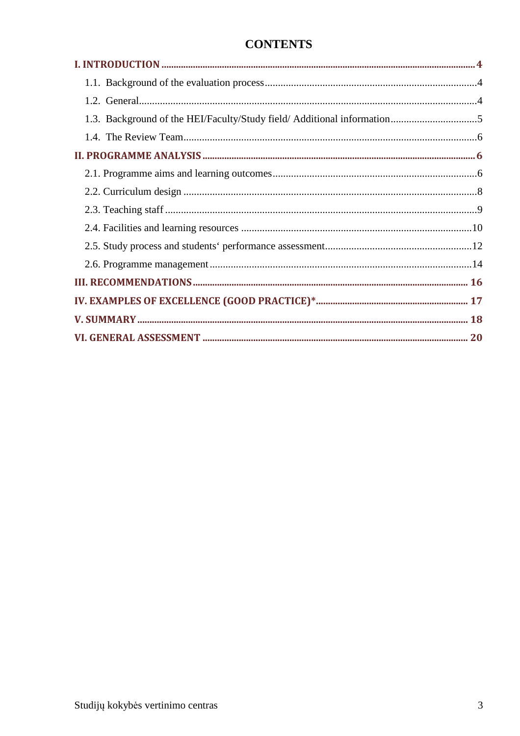# **CONTENTS**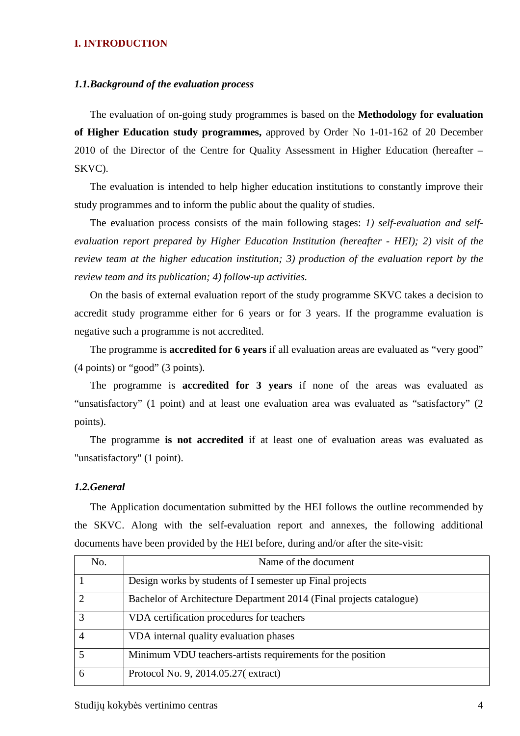#### **I. INTRODUCTION**

#### *1.1.Background of the evaluation process*

The evaluation of on-going study programmes is based on the **Methodology for evaluation of Higher Education study programmes,** approved by Order No 1-01-162 of 20 December 2010 of the Director of the Centre for Quality Assessment in Higher Education (hereafter – SKVC).

The evaluation is intended to help higher education institutions to constantly improve their study programmes and to inform the public about the quality of studies.

The evaluation process consists of the main following stages: *1) self-evaluation and selfevaluation report prepared by Higher Education Institution (hereafter - HEI); 2) visit of the review team at the higher education institution; 3) production of the evaluation report by the review team and its publication; 4) follow-up activities.* 

On the basis of external evaluation report of the study programme SKVC takes a decision to accredit study programme either for 6 years or for 3 years. If the programme evaluation is negative such a programme is not accredited.

The programme is **accredited for 6 years** if all evaluation areas are evaluated as "very good" (4 points) or "good" (3 points).

The programme is **accredited for 3 years** if none of the areas was evaluated as "unsatisfactory" (1 point) and at least one evaluation area was evaluated as "satisfactory" (2 points).

The programme **is not accredited** if at least one of evaluation areas was evaluated as "unsatisfactory" (1 point).

#### *1.2.General*

The Application documentation submitted by the HEI follows the outline recommended by the SKVC. Along with the self-evaluation report and annexes, the following additional documents have been provided by the HEI before, during and/or after the site-visit:

| No. | Name of the document                                                |
|-----|---------------------------------------------------------------------|
|     | Design works by students of I semester up Final projects            |
|     | Bachelor of Architecture Department 2014 (Final projects catalogue) |
|     | VDA certification procedures for teachers                           |
|     | VDA internal quality evaluation phases                              |
|     | Minimum VDU teachers-artists requirements for the position          |
| 6   | Protocol No. 9, 2014.05.27(extract)                                 |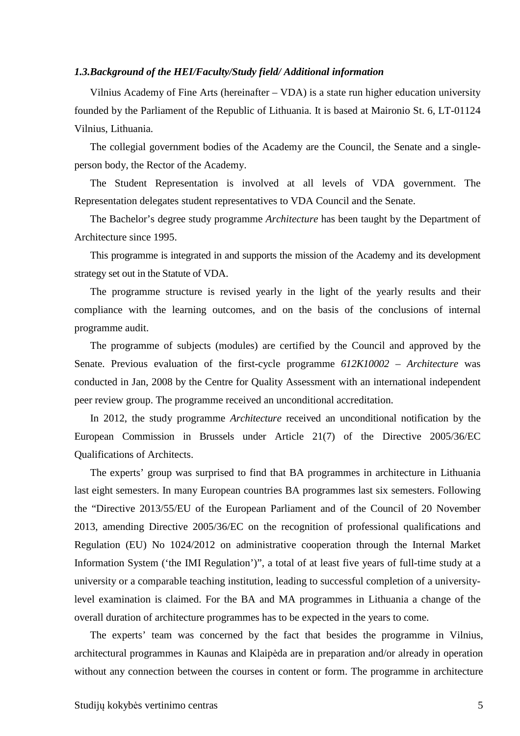#### *1.3.Background of the HEI/Faculty/Study field/ Additional information*

Vilnius Academy of Fine Arts (hereinafter – VDA) is a state run higher education university founded by the Parliament of the Republic of Lithuania. It is based at Maironio St. 6, LT-01124 Vilnius, Lithuania.

The collegial government bodies of the Academy are the Council, the Senate and a singleperson body, the Rector of the Academy.

The Student Representation is involved at all levels of VDA government. The Representation delegates student representatives to VDA Council and the Senate.

The Bachelor's degree study programme *Architecture* has been taught by the Department of Architecture since 1995.

This programme is integrated in and supports the mission of the Academy and its development strategy set out in the Statute of VDA.

The programme structure is revised yearly in the light of the yearly results and their compliance with the learning outcomes, and on the basis of the conclusions of internal programme audit.

The programme of subjects (modules) are certified by the Council and approved by the Senate. Previous evaluation of the first-cycle programme *612K10002 – Architecture* was conducted in Jan, 2008 by the Centre for Quality Assessment with an international independent peer review group. The programme received an unconditional accreditation.

In 2012, the study programme *Architecture* received an unconditional notification by the European Commission in Brussels under Article 21(7) of the Directive 2005/36/EC Qualifications of Architects.

The experts' group was surprised to find that BA programmes in architecture in Lithuania last eight semesters. In many European countries BA programmes last six semesters. Following the "Directive 2013/55/EU of the European Parliament and of the Council of 20 November 2013, amending Directive 2005/36/EC on the recognition of professional qualifications and Regulation (EU) No 1024/2012 on administrative cooperation through the Internal Market Information System ('the IMI Regulation')", a total of at least five years of full-time study at a university or a comparable teaching institution, leading to successful completion of a universitylevel examination is claimed. For the BA and MA programmes in Lithuania a change of the overall duration of architecture programmes has to be expected in the years to come.

The experts' team was concerned by the fact that besides the programme in Vilnius, architectural programmes in Kaunas and Klaipėda are in preparation and/or already in operation without any connection between the courses in content or form. The programme in architecture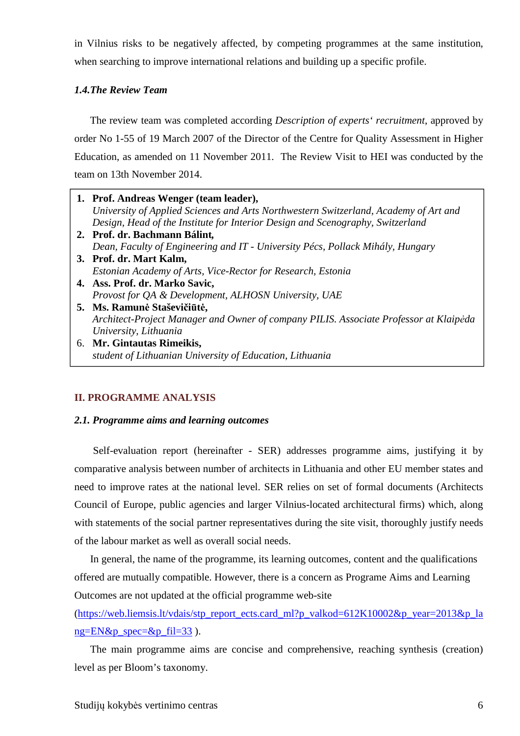in Vilnius risks to be negatively affected, by competing programmes at the same institution, when searching to improve international relations and building up a specific profile.

### *1.4.The Review Team*

The review team was completed according *Description of experts' recruitment*, approved by order No 1-55 of 19 March 2007 of the Director of the Centre for Quality Assessment in Higher Education, as amended on 11 November 2011. The Review Visit to HEI was conducted by the team on 13th November 2014.

- **1. Prof. Andreas Wenger (team leader),**  *University of Applied Sciences and Arts Northwestern Switzerland, Academy of Art and Design, Head of the Institute for Interior Design and Scenography, Switzerland* **2. Prof. dr. Bachmann Bálint***, Dean, Faculty of Engineering and IT - University Pécs, Pollack Mihály, Hungary* **3. Prof. dr. Mart Kalm,**  *Estonian Academy of Arts, Vice-Rector for Research, Estonia* **4. Ass. Prof. dr. Marko Savic,**  *Provost for QA & Development, ALHOSN University, UAE* **5. Ms. Ramunė Staševičiūtė,**  *Architect-Project Manager and Owner of company PILIS. Associate Professor at Klaipėda University, Lithuania*
- 6. **Mr. Gintautas Rimeikis,**  *student of Lithuanian University of Education, Lithuania*

## **II. PROGRAMME ANALYSIS**

#### *2.1. Programme aims and learning outcomes*

 Self-evaluation report (hereinafter - SER) addresses programme aims, justifying it by comparative analysis between number of architects in Lithuania and other EU member states and need to improve rates at the national level. SER relies on set of formal documents (Architects Council of Europe, public agencies and larger Vilnius-located architectural firms) which, along with statements of the social partner representatives during the site visit, thoroughly justify needs of the labour market as well as overall social needs.

In general, the name of the programme, its learning outcomes, content and the qualifications offered are mutually compatible. However, there is a concern as Programe Aims and Learning Outcomes are not updated at the official programme web-site

(https://web.liemsis.lt/vdais/stp\_report\_ects.card\_ml?p\_valkod=612K10002&p\_year=2013&p\_la  $ng=EN&p\_spec=&p_fil=33$ ).

The main programme aims are concise and comprehensive, reaching synthesis (creation) level as per Bloom's taxonomy.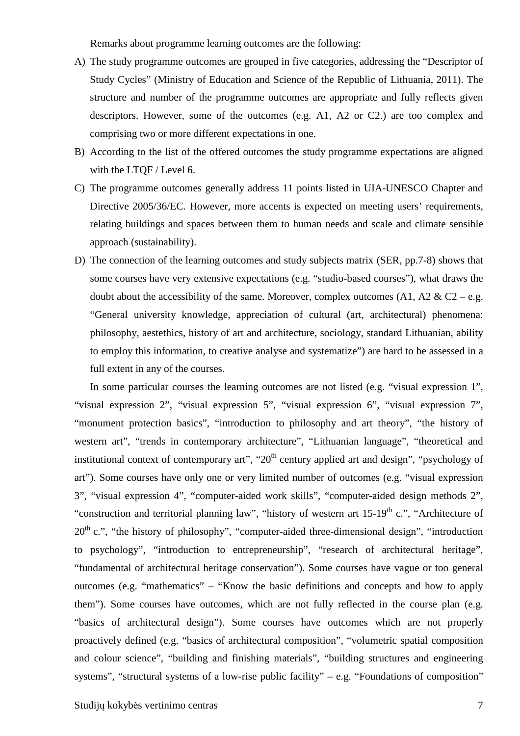Remarks about programme learning outcomes are the following:

- A) The study programme outcomes are grouped in five categories, addressing the "Descriptor of Study Cycles" (Ministry of Education and Science of the Republic of Lithuania, 2011). The structure and number of the programme outcomes are appropriate and fully reflects given descriptors. However, some of the outcomes (e.g. A1, A2 or C2.) are too complex and comprising two or more different expectations in one.
- B) According to the list of the offered outcomes the study programme expectations are aligned with the LTQF / Level 6.
- C) The programme outcomes generally address 11 points listed in UIA-UNESCO Chapter and Directive 2005/36/EC. However, more accents is expected on meeting users' requirements, relating buildings and spaces between them to human needs and scale and climate sensible approach (sustainability).
- D) The connection of the learning outcomes and study subjects matrix (SER, pp.7-8) shows that some courses have very extensive expectations (e.g. "studio-based courses"), what draws the doubt about the accessibility of the same. Moreover, complex outcomes  $(A1, A2 \& C2 - e.g.$ "General university knowledge, appreciation of cultural (art, architectural) phenomena: philosophy, aestethics, history of art and architecture, sociology, standard Lithuanian, ability to employ this information, to creative analyse and systematize") are hard to be assessed in a full extent in any of the courses.

 In some particular courses the learning outcomes are not listed (e.g. "visual expression 1", "visual expression 2", "visual expression 5", "visual expression 6", "visual expression 7", "monument protection basics", "introduction to philosophy and art theory", "the history of western art", "trends in contemporary architecture", "Lithuanian language", "theoretical and institutional context of contemporary art", " $20<sup>th</sup>$  century applied art and design", "psychology of art"). Some courses have only one or very limited number of outcomes (e.g. "visual expression 3", "visual expression 4", "computer-aided work skills", "computer-aided design methods 2", "construction and territorial planning law", "history of western art 15-19<sup>th</sup> c.", "Architecture of  $20<sup>th</sup>$  c.", "the history of philosophy", "computer-aided three-dimensional design", "introduction to psychology", "introduction to entrepreneurship", "research of architectural heritage", "fundamental of architectural heritage conservation"). Some courses have vague or too general outcomes (e.g. "mathematics" – "Know the basic definitions and concepts and how to apply them"). Some courses have outcomes, which are not fully reflected in the course plan (e.g. "basics of architectural design"). Some courses have outcomes which are not properly proactively defined (e.g. "basics of architectural composition", "volumetric spatial composition and colour science", "building and finishing materials", "building structures and engineering systems", "structural systems of a low-rise public facility" – e.g. "Foundations of composition"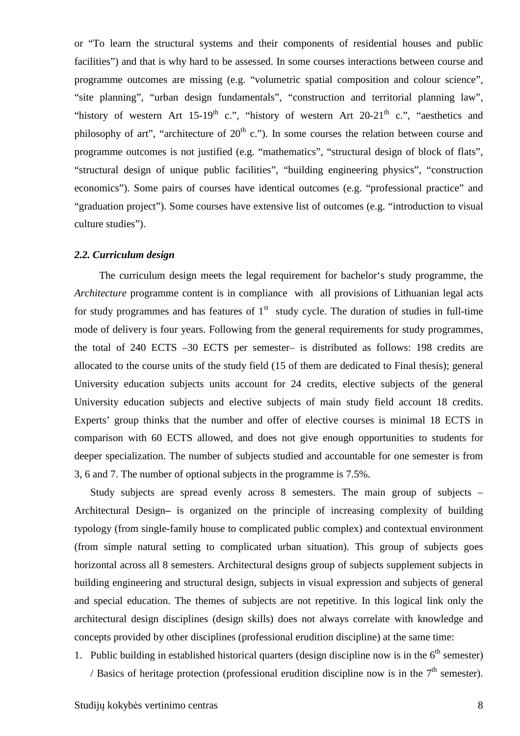or "To learn the structural systems and their components of residential houses and public facilities") and that is why hard to be assessed. In some courses interactions between course and programme outcomes are missing (e.g. "volumetric spatial composition and colour science", "site planning", "urban design fundamentals", "construction and territorial planning law", "history of western Art 15-19<sup>th</sup> c.", "history of western Art 20-21<sup>th</sup> c.", "aesthetics and philosophy of art", "architecture of  $20<sup>th</sup>$  c."). In some courses the relation between course and programme outcomes is not justified (e.g. "mathematics", "structural design of block of flats", "structural design of unique public facilities", "building engineering physics", "construction economics"). Some pairs of courses have identical outcomes (e.g. "professional practice" and "graduation project"). Some courses have extensive list of outcomes (e.g. "introduction to visual culture studies").

#### *2.2. Curriculum design*

 The curriculum design meets the legal requirement for bachelor's study programme, the *Architecture* programme content is in compliance with all provisions of Lithuanian legal acts for study programmes and has features of  $1<sup>st</sup>$  study cycle. The duration of studies in full-time mode of delivery is four years. Following from the general requirements for study programmes, the total of 240 ECTS –30 ECTS per semester– is distributed as follows: 198 credits are allocated to the course units of the study field (15 of them are dedicated to Final thesis); general University education subjects units account for 24 credits, elective subjects of the general University education subjects and elective subjects of main study field account 18 credits. Experts' group thinks that the number and offer of elective courses is minimal 18 ECTS in comparison with 60 ECTS allowed, and does not give enough opportunities to students for deeper specialization. The number of subjects studied and accountable for one semester is from 3, 6 and 7. The number of optional subjects in the programme is 7.5%.

Study subjects are spread evenly across 8 semesters. The main group of subjects – Architectural Design**–** is organized on the principle of increasing complexity of building typology (from single-family house to complicated public complex) and contextual environment (from simple natural setting to complicated urban situation). This group of subjects goes horizontal across all 8 semesters. Architectural designs group of subjects supplement subjects in building engineering and structural design, subjects in visual expression and subjects of general and special education. The themes of subjects are not repetitive. In this logical link only the architectural design disciplines (design skills) does not always correlate with knowledge and concepts provided by other disciplines (professional erudition discipline) at the same time:

1. Public building in established historical quarters (design discipline now is in the  $6<sup>th</sup>$  semester) / Basics of heritage protection (professional erudition discipline now is in the  $7<sup>th</sup>$  semester).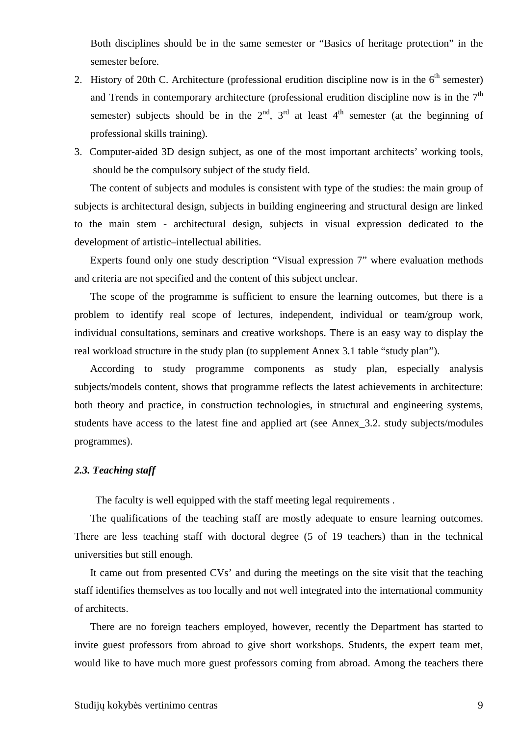Both disciplines should be in the same semester or "Basics of heritage protection" in the semester before.

- 2. History of 20th C. Architecture (professional erudition discipline now is in the  $6<sup>th</sup>$  semester) and Trends in contemporary architecture (professional erudition discipline now is in the  $7<sup>th</sup>$ semester) subjects should be in the  $2<sup>nd</sup>$ ,  $3<sup>rd</sup>$  at least  $4<sup>th</sup>$  semester (at the beginning of professional skills training).
- 3. Computer-aided 3D design subject, as one of the most important architects' working tools, should be the compulsory subject of the study field.

The content of subjects and modules is consistent with type of the studies: the main group of subjects is architectural design, subjects in building engineering and structural design are linked to the main stem - architectural design, subjects in visual expression dedicated to the development of artistic–intellectual abilities.

Experts found only one study description "Visual expression 7" where evaluation methods and criteria are not specified and the content of this subject unclear.

The scope of the programme is sufficient to ensure the learning outcomes, but there is a problem to identify real scope of lectures, independent, individual or team/group work, individual consultations, seminars and creative workshops. There is an easy way to display the real workload structure in the study plan (to supplement Annex 3.1 table "study plan").

According to study programme components as study plan, especially analysis subjects/models content, shows that programme reflects the latest achievements in architecture: both theory and practice, in construction technologies, in structural and engineering systems, students have access to the latest fine and applied art (see Annex\_3.2. study subjects/modules programmes).

#### *2.3. Teaching staff*

The faculty is well equipped with the staff meeting legal requirements .

The qualifications of the teaching staff are mostly adequate to ensure learning outcomes. There are less teaching staff with doctoral degree (5 of 19 teachers) than in the technical universities but still enough.

It came out from presented CVs' and during the meetings on the site visit that the teaching staff identifies themselves as too locally and not well integrated into the international community of architects.

There are no foreign teachers employed, however, recently the Department has started to invite guest professors from abroad to give short workshops. Students, the expert team met, would like to have much more guest professors coming from abroad. Among the teachers there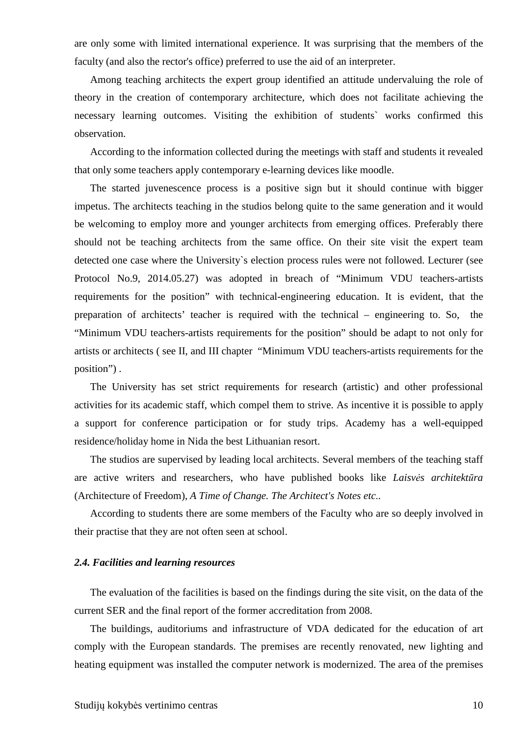are only some with limited international experience. It was surprising that the members of the faculty (and also the rector's office) preferred to use the aid of an interpreter.

Among teaching architects the expert group identified an attitude undervaluing the role of theory in the creation of contemporary architecture, which does not facilitate achieving the necessary learning outcomes. Visiting the exhibition of students` works confirmed this observation.

According to the information collected during the meetings with staff and students it revealed that only some teachers apply contemporary e-learning devices like moodle.

The started juvenescence process is a positive sign but it should continue with bigger impetus. The architects teaching in the studios belong quite to the same generation and it would be welcoming to employ more and younger architects from emerging offices. Preferably there should not be teaching architects from the same office. On their site visit the expert team detected one case where the University`s election process rules were not followed. Lecturer (see Protocol No.9, 2014.05.27) was adopted in breach of "Minimum VDU teachers-artists requirements for the position" with technical-engineering education. It is evident, that the preparation of architects' teacher is required with the technical – engineering to. So, the "Minimum VDU teachers-artists requirements for the position" should be adapt to not only for artists or architects ( see II, and III chapter "Minimum VDU teachers-artists requirements for the position") .

The University has set strict requirements for research (artistic) and other professional activities for its academic staff, which compel them to strive. As incentive it is possible to apply a support for conference participation or for study trips. Academy has a well-equipped residence/holiday home in Nida the best Lithuanian resort.

The studios are supervised by leading local architects. Several members of the teaching staff are active writers and researchers, who have published books like *Laisvės architektūra*  (Architecture of Freedom), *A Time of Change. The Architect's Notes etc*..

According to students there are some members of the Faculty who are so deeply involved in their practise that they are not often seen at school.

#### *2.4. Facilities and learning resources*

The evaluation of the facilities is based on the findings during the site visit, on the data of the current SER and the final report of the former accreditation from 2008.

The buildings, auditoriums and infrastructure of VDA dedicated for the education of art comply with the European standards. The premises are recently renovated, new lighting and heating equipment was installed the computer network is modernized. The area of the premises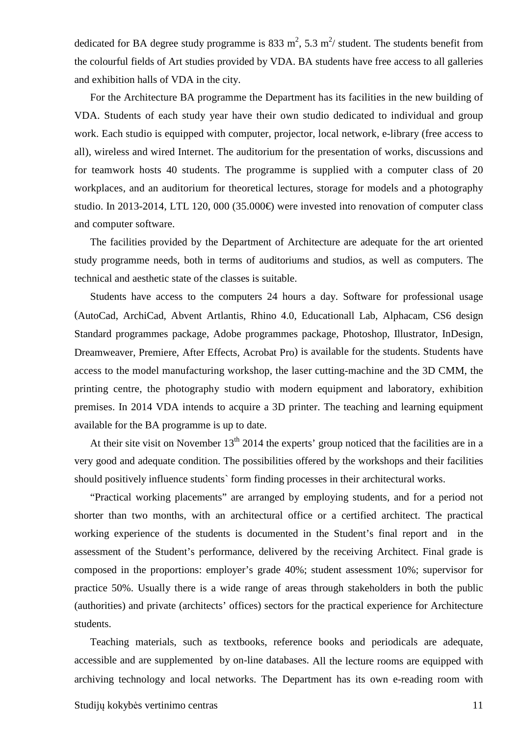dedicated for BA degree study programme is 833 m<sup>2</sup>, 5.3 m<sup>2</sup>/ student. The students benefit from the colourful fields of Art studies provided by VDA. BA students have free access to all galleries and exhibition halls of VDA in the city.

For the Architecture BA programme the Department has its facilities in the new building of VDA. Students of each study year have their own studio dedicated to individual and group work. Each studio is equipped with computer, projector, local network, e-library (free access to all), wireless and wired Internet. The auditorium for the presentation of works, discussions and for teamwork hosts 40 students. The programme is supplied with a computer class of 20 workplaces, and an auditorium for theoretical lectures, storage for models and a photography studio. In 2013-2014, LTL 120, 000 (35.000€) were invested into renovation of computer class and computer software.

The facilities provided by the Department of Architecture are adequate for the art oriented study programme needs, both in terms of auditoriums and studios, as well as computers. The technical and aesthetic state of the classes is suitable.

Students have access to the computers 24 hours a day. Software for professional usage (AutoCad, ArchiCad, Abvent Artlantis, Rhino 4.0, Educationall Lab, Alphacam, CS6 design Standard programmes package, Adobe programmes package, Photoshop, Illustrator, InDesign, Dreamweaver, Premiere, After Effects, Acrobat Pro) is available for the students. Students have access to the model manufacturing workshop, the laser cutting-machine and the 3D CMM, the printing centre, the photography studio with modern equipment and laboratory, exhibition premises. In 2014 VDA intends to acquire a 3D printer. The teaching and learning equipment available for the BA programme is up to date.

At their site visit on November  $13<sup>th</sup> 2014$  the experts' group noticed that the facilities are in a very good and adequate condition. The possibilities offered by the workshops and their facilities should positively influence students` form finding processes in their architectural works.

"Practical working placements" are arranged by employing students, and for a period not shorter than two months, with an architectural office or a certified architect. The practical working experience of the students is documented in the Student's final report and in the assessment of the Student's performance, delivered by the receiving Architect. Final grade is composed in the proportions: employer's grade 40%; student assessment 10%; supervisor for practice 50%. Usually there is a wide range of areas through stakeholders in both the public (authorities) and private (architects' offices) sectors for the practical experience for Architecture students.

Teaching materials, such as textbooks, reference books and periodicals are adequate, accessible and are supplemented by on-line databases. All the lecture rooms are equipped with archiving technology and local networks. The Department has its own e-reading room with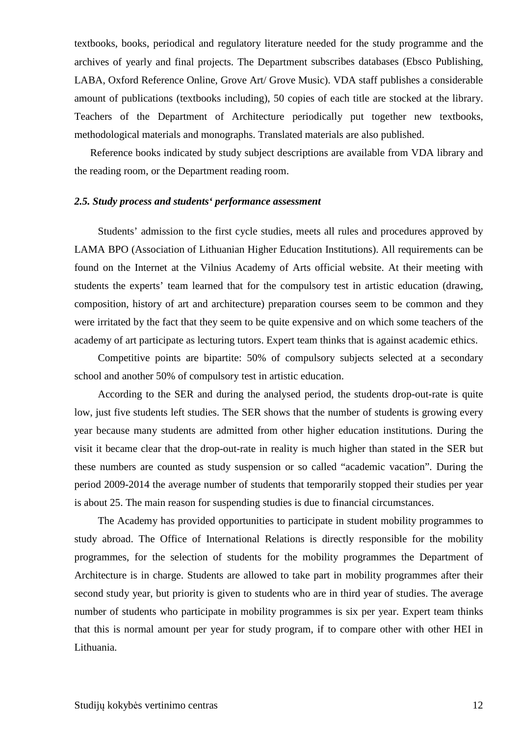textbooks, books, periodical and regulatory literature needed for the study programme and the archives of yearly and final projects. The Department subscribes databases (Ebsco Publishing, LABA, Oxford Reference Online, Grove Art/ Grove Music). VDA staff publishes a considerable amount of publications (textbooks including), 50 copies of each title are stocked at the library. Teachers of the Department of Architecture periodically put together new textbooks, methodological materials and monographs. Translated materials are also published.

Reference books indicated by study subject descriptions are available from VDA library and the reading room, or the Department reading room.

#### *2.5. Study process and students' performance assessment*

Students' admission to the first cycle studies, meets all rules and procedures approved by LAMA BPO (Association of Lithuanian Higher Education Institutions). All requirements can be found on the Internet at the Vilnius Academy of Arts official website. At their meeting with students the experts' team learned that for the compulsory test in artistic education (drawing, composition, history of art and architecture) preparation courses seem to be common and they were irritated by the fact that they seem to be quite expensive and on which some teachers of the academy of art participate as lecturing tutors. Expert team thinks that is against academic ethics.

Competitive points are bipartite: 50% of compulsory subjects selected at a secondary school and another 50% of compulsory test in artistic education.

According to the SER and during the analysed period, the students drop-out-rate is quite low, just five students left studies. The SER shows that the number of students is growing every year because many students are admitted from other higher education institutions. During the visit it became clear that the drop-out-rate in reality is much higher than stated in the SER but these numbers are counted as study suspension or so called "academic vacation". During the period 2009-2014 the average number of students that temporarily stopped their studies per year is about 25. The main reason for suspending studies is due to financial circumstances.

The Academy has provided opportunities to participate in student mobility programmes to study abroad. The Office of International Relations is directly responsible for the mobility programmes, for the selection of students for the mobility programmes the Department of Architecture is in charge. Students are allowed to take part in mobility programmes after their second study year, but priority is given to students who are in third year of studies. The average number of students who participate in mobility programmes is six per year. Expert team thinks that this is normal amount per year for study program, if to compare other with other HEI in Lithuania.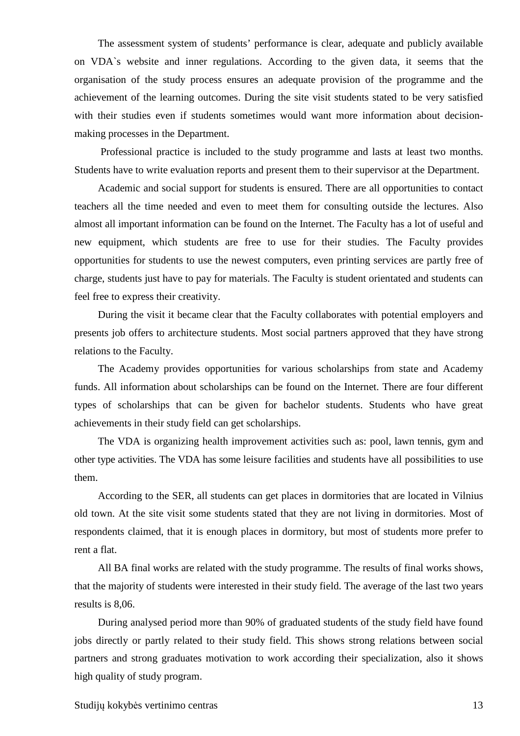The assessment system of students' performance is clear, adequate and publicly available on VDA`s website and inner regulations. According to the given data, it seems that the organisation of the study process ensures an adequate provision of the programme and the achievement of the learning outcomes. During the site visit students stated to be very satisfied with their studies even if students sometimes would want more information about decisionmaking processes in the Department.

 Professional practice is included to the study programme and lasts at least two months. Students have to write evaluation reports and present them to their supervisor at the Department.

Academic and social support for students is ensured. There are all opportunities to contact teachers all the time needed and even to meet them for consulting outside the lectures. Also almost all important information can be found on the Internet. The Faculty has a lot of useful and new equipment, which students are free to use for their studies. The Faculty provides opportunities for students to use the newest computers, even printing services are partly free of charge, students just have to pay for materials. The Faculty is student orientated and students can feel free to express their creativity.

During the visit it became clear that the Faculty collaborates with potential employers and presents job offers to architecture students. Most social partners approved that they have strong relations to the Faculty.

The Academy provides opportunities for various scholarships from state and Academy funds. All information about scholarships can be found on the Internet. There are four different types of scholarships that can be given for bachelor students. Students who have great achievements in their study field can get scholarships.

The VDA is organizing health improvement activities such as: pool, lawn tennis, gym and other type activities. The VDA has some leisure facilities and students have all possibilities to use them.

According to the SER, all students can get places in dormitories that are located in Vilnius old town. At the site visit some students stated that they are not living in dormitories. Most of respondents claimed, that it is enough places in dormitory, but most of students more prefer to rent a flat.

All BA final works are related with the study programme. The results of final works shows, that the majority of students were interested in their study field. The average of the last two years results is 8,06.

During analysed period more than 90% of graduated students of the study field have found jobs directly or partly related to their study field. This shows strong relations between social partners and strong graduates motivation to work according their specialization, also it shows high quality of study program.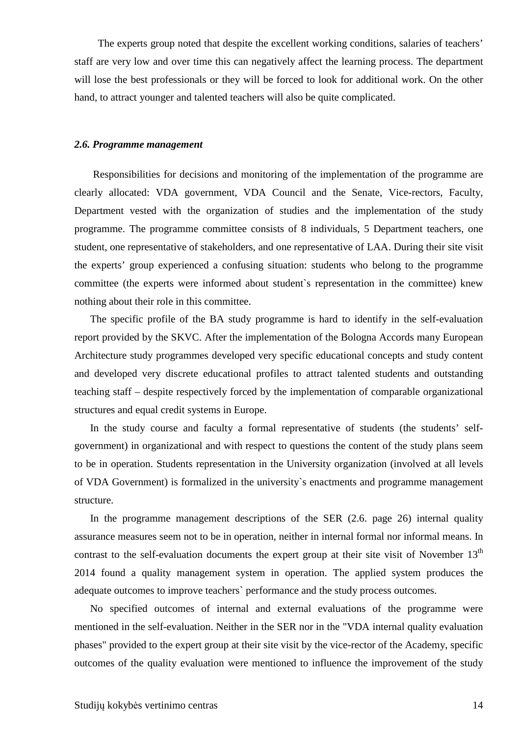The experts group noted that despite the excellent working conditions, salaries of teachers' staff are very low and over time this can negatively affect the learning process. The department will lose the best professionals or they will be forced to look for additional work. On the other hand, to attract younger and talented teachers will also be quite complicated.

#### *2.6. Programme management*

 Responsibilities for decisions and monitoring of the implementation of the programme are clearly allocated: VDA government, VDA Council and the Senate, Vice-rectors, Faculty, Department vested with the organization of studies and the implementation of the study programme. The programme committee consists of 8 individuals, 5 Department teachers, one student, one representative of stakeholders, and one representative of LAA. During their site visit the experts' group experienced a confusing situation: students who belong to the programme committee (the experts were informed about student`s representation in the committee) knew nothing about their role in this committee.

The specific profile of the BA study programme is hard to identify in the self-evaluation report provided by the SKVC. After the implementation of the Bologna Accords many European Architecture study programmes developed very specific educational concepts and study content and developed very discrete educational profiles to attract talented students and outstanding teaching staff – despite respectively forced by the implementation of comparable organizational structures and equal credit systems in Europe.

In the study course and faculty a formal representative of students (the students' selfgovernment) in organizational and with respect to questions the content of the study plans seem to be in operation. Students representation in the University organization (involved at all levels of VDA Government) is formalized in the university`s enactments and programme management structure.

In the programme management descriptions of the SER (2.6. page 26) internal quality assurance measures seem not to be in operation, neither in internal formal nor informal means. In contrast to the self-evaluation documents the expert group at their site visit of November  $13<sup>th</sup>$ 2014 found a quality management system in operation. The applied system produces the adequate outcomes to improve teachers` performance and the study process outcomes.

No specified outcomes of internal and external evaluations of the programme were mentioned in the self-evaluation. Neither in the SER nor in the "VDA internal quality evaluation phases" provided to the expert group at their site visit by the vice-rector of the Academy, specific outcomes of the quality evaluation were mentioned to influence the improvement of the study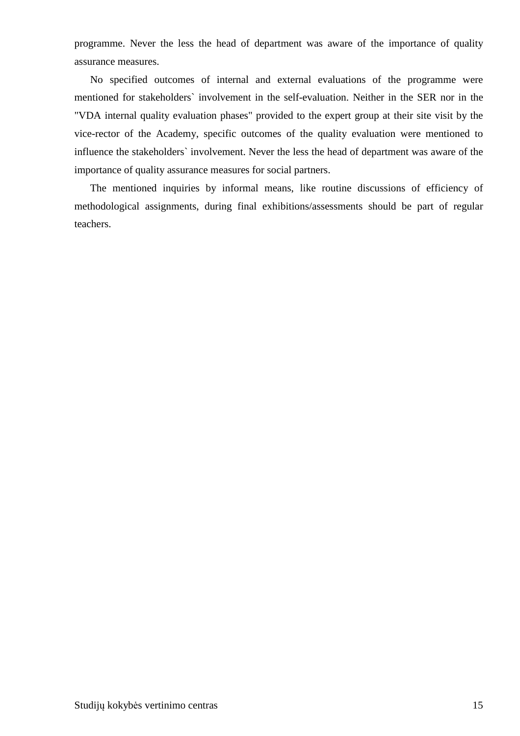programme. Never the less the head of department was aware of the importance of quality assurance measures.

No specified outcomes of internal and external evaluations of the programme were mentioned for stakeholders` involvement in the self-evaluation. Neither in the SER nor in the "VDA internal quality evaluation phases" provided to the expert group at their site visit by the vice-rector of the Academy, specific outcomes of the quality evaluation were mentioned to influence the stakeholders` involvement. Never the less the head of department was aware of the importance of quality assurance measures for social partners.

The mentioned inquiries by informal means, like routine discussions of efficiency of methodological assignments, during final exhibitions/assessments should be part of regular teachers.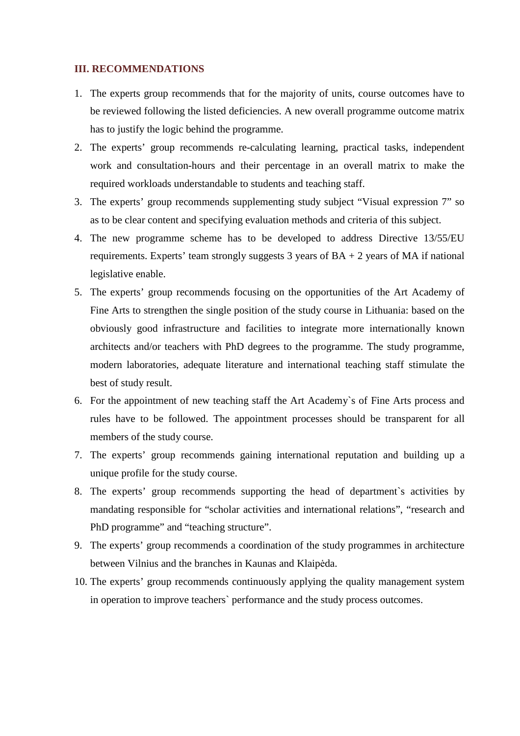#### **III. RECOMMENDATIONS**

- 1. The experts group recommends that for the majority of units, course outcomes have to be reviewed following the listed deficiencies. A new overall programme outcome matrix has to justify the logic behind the programme.
- 2. The experts' group recommends re-calculating learning, practical tasks, independent work and consultation-hours and their percentage in an overall matrix to make the required workloads understandable to students and teaching staff.
- 3. The experts' group recommends supplementing study subject "Visual expression 7" so as to be clear content and specifying evaluation methods and criteria of this subject.
- 4. The new programme scheme has to be developed to address Directive 13/55/EU requirements. Experts' team strongly suggests 3 years of  $BA + 2$  years of MA if national legislative enable.
- 5. The experts' group recommends focusing on the opportunities of the Art Academy of Fine Arts to strengthen the single position of the study course in Lithuania: based on the obviously good infrastructure and facilities to integrate more internationally known architects and/or teachers with PhD degrees to the programme. The study programme, modern laboratories, adequate literature and international teaching staff stimulate the best of study result.
- 6. For the appointment of new teaching staff the Art Academy`s of Fine Arts process and rules have to be followed. The appointment processes should be transparent for all members of the study course.
- 7. The experts' group recommends gaining international reputation and building up a unique profile for the study course.
- 8. The experts' group recommends supporting the head of department`s activities by mandating responsible for "scholar activities and international relations", "research and PhD programme" and "teaching structure".
- 9. The experts' group recommends a coordination of the study programmes in architecture between Vilnius and the branches in Kaunas and Klaipėda.
- 10. The experts' group recommends continuously applying the quality management system in operation to improve teachers` performance and the study process outcomes.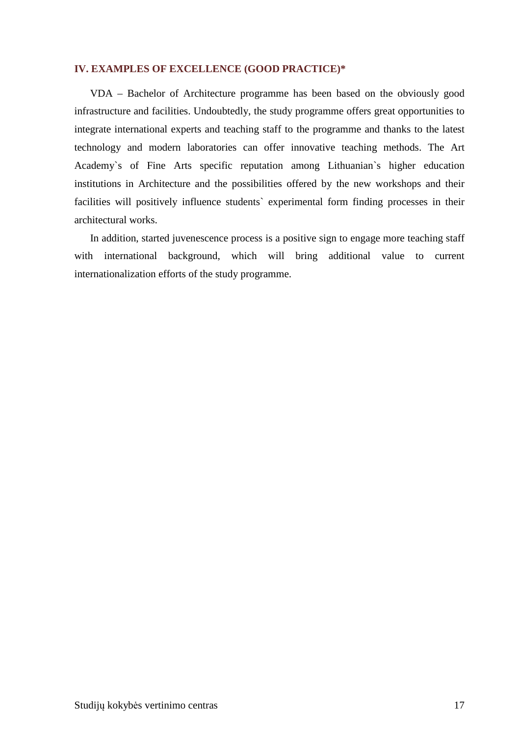#### **IV. EXAMPLES OF EXCELLENCE (GOOD PRACTICE)\***

VDA – Bachelor of Architecture programme has been based on the obviously good infrastructure and facilities. Undoubtedly, the study programme offers great opportunities to integrate international experts and teaching staff to the programme and thanks to the latest technology and modern laboratories can offer innovative teaching methods. The Art Academy`s of Fine Arts specific reputation among Lithuanian`s higher education institutions in Architecture and the possibilities offered by the new workshops and their facilities will positively influence students` experimental form finding processes in their architectural works.

In addition, started juvenescence process is a positive sign to engage more teaching staff with international background, which will bring additional value to current internationalization efforts of the study programme.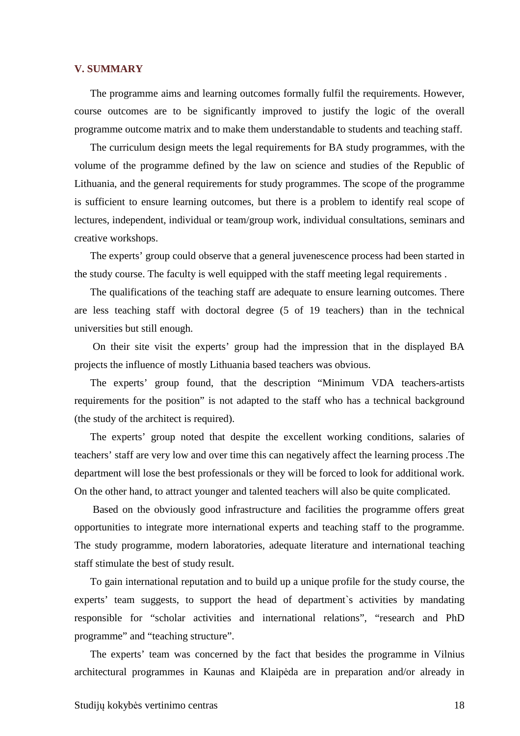#### **V. SUMMARY**

The programme aims and learning outcomes formally fulfil the requirements. However, course outcomes are to be significantly improved to justify the logic of the overall programme outcome matrix and to make them understandable to students and teaching staff.

The curriculum design meets the legal requirements for BA study programmes, with the volume of the programme defined by the law on science and studies of the Republic of Lithuania, and the general requirements for study programmes. The scope of the programme is sufficient to ensure learning outcomes, but there is a problem to identify real scope of lectures, independent, individual or team/group work, individual consultations, seminars and creative workshops.

The experts' group could observe that a general juvenescence process had been started in the study course. The faculty is well equipped with the staff meeting legal requirements .

The qualifications of the teaching staff are adequate to ensure learning outcomes. There are less teaching staff with doctoral degree (5 of 19 teachers) than in the technical universities but still enough.

 On their site visit the experts' group had the impression that in the displayed BA projects the influence of mostly Lithuania based teachers was obvious.

The experts' group found, that the description "Minimum VDA teachers-artists requirements for the position" is not adapted to the staff who has a technical background (the study of the architect is required).

The experts' group noted that despite the excellent working conditions, salaries of teachers' staff are very low and over time this can negatively affect the learning process .The department will lose the best professionals or they will be forced to look for additional work. On the other hand, to attract younger and talented teachers will also be quite complicated.

 Based on the obviously good infrastructure and facilities the programme offers great opportunities to integrate more international experts and teaching staff to the programme. The study programme, modern laboratories, adequate literature and international teaching staff stimulate the best of study result.

To gain international reputation and to build up a unique profile for the study course, the experts' team suggests, to support the head of department`s activities by mandating responsible for "scholar activities and international relations", "research and PhD programme" and "teaching structure".

The experts' team was concerned by the fact that besides the programme in Vilnius architectural programmes in Kaunas and Klaipėda are in preparation and/or already in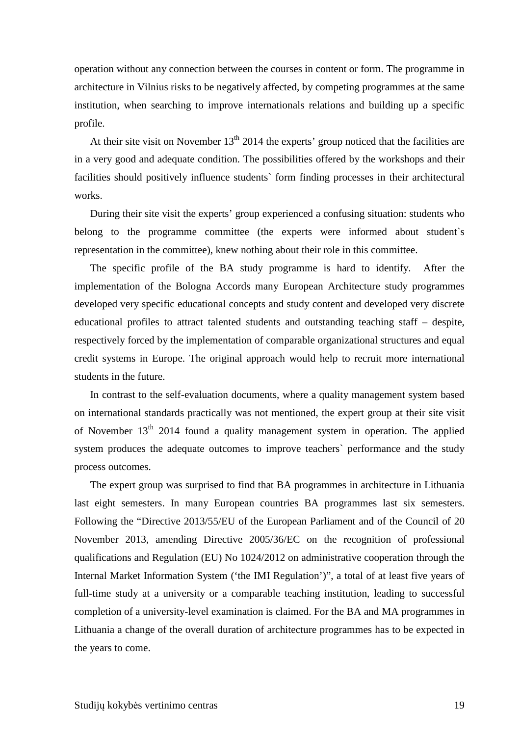operation without any connection between the courses in content or form. The programme in architecture in Vilnius risks to be negatively affected, by competing programmes at the same institution, when searching to improve internationals relations and building up a specific profile.

At their site visit on November  $13<sup>th</sup> 2014$  the experts' group noticed that the facilities are in a very good and adequate condition. The possibilities offered by the workshops and their facilities should positively influence students` form finding processes in their architectural works.

During their site visit the experts' group experienced a confusing situation: students who belong to the programme committee (the experts were informed about student's representation in the committee), knew nothing about their role in this committee.

The specific profile of the BA study programme is hard to identify. After the implementation of the Bologna Accords many European Architecture study programmes developed very specific educational concepts and study content and developed very discrete educational profiles to attract talented students and outstanding teaching staff – despite, respectively forced by the implementation of comparable organizational structures and equal credit systems in Europe. The original approach would help to recruit more international students in the future.

In contrast to the self-evaluation documents, where a quality management system based on international standards practically was not mentioned, the expert group at their site visit of November  $13<sup>th</sup>$  2014 found a quality management system in operation. The applied system produces the adequate outcomes to improve teachers` performance and the study process outcomes.

The expert group was surprised to find that BA programmes in architecture in Lithuania last eight semesters. In many European countries BA programmes last six semesters. Following the "Directive 2013/55/EU of the European Parliament and of the Council of 20 November 2013, amending Directive 2005/36/EC on the recognition of professional qualifications and Regulation (EU) No 1024/2012 on administrative cooperation through the Internal Market Information System ('the IMI Regulation')", a total of at least five years of full-time study at a university or a comparable teaching institution, leading to successful completion of a university-level examination is claimed. For the BA and MA programmes in Lithuania a change of the overall duration of architecture programmes has to be expected in the years to come.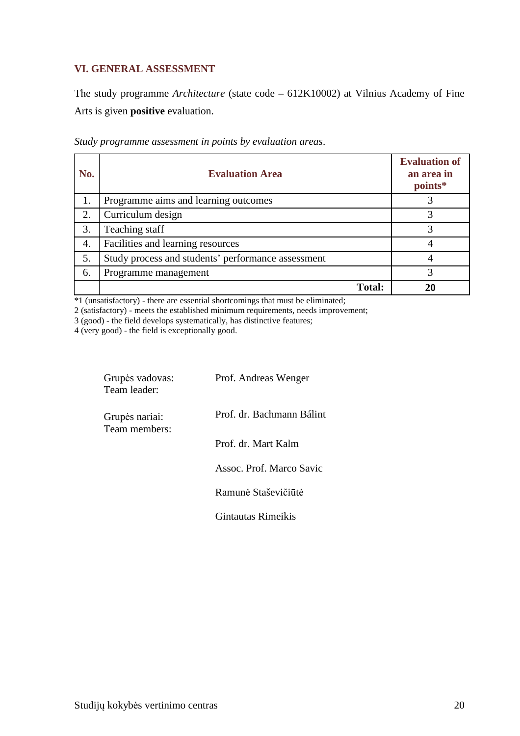## **VI. GENERAL ASSESSMENT**

The study programme *Architecture* (state code – 612K10002) at Vilnius Academy of Fine Arts is given **positive** evaluation.

| No. | <b>Evaluation Area</b>                             | <b>Evaluation of</b><br>an area in<br>points* |
|-----|----------------------------------------------------|-----------------------------------------------|
|     | Programme aims and learning outcomes               |                                               |
| 2.  | Curriculum design                                  | 3                                             |
| 3.  | Teaching staff                                     |                                               |
| 4.  | Facilities and learning resources                  |                                               |
| 5.  | Study process and students' performance assessment |                                               |
| 6.  | Programme management                               | 3                                             |
|     | <b>Total:</b>                                      |                                               |

*Study programme assessment in points by evaluation areas*.

\*1 (unsatisfactory) - there are essential shortcomings that must be eliminated;

2 (satisfactory) - meets the established minimum requirements, needs improvement;

3 (good) - the field develops systematically, has distinctive features;

4 (very good) - the field is exceptionally good.

| Grupės vadovas:<br>Team leader: | Prof. Andreas Wenger      |
|---------------------------------|---------------------------|
| Grupės nariai:<br>Team members: | Prof. dr. Bachmann Bálint |
|                                 | Prof. dr. Mart Kalm       |
|                                 | Assoc. Prof. Marco Savic  |
|                                 | Ramunė Staševičiūtė       |
|                                 | Gintautas Rimeikis        |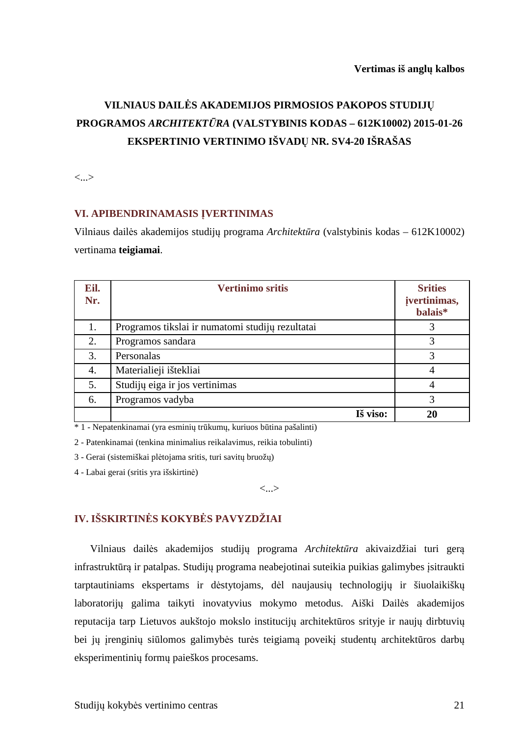# **VILNIAUS DAILĖS AKADEMIJOS PIRMOSIOS PAKOPOS STUDIJŲ PROGRAMOS** *ARCHITEKTŪRA* **(VALSTYBINIS KODAS – 612K10002) 2015-01-26 EKSPERTINIO VERTINIMO IŠVADŲ NR. SV4-20 IŠRAŠAS**

<...>

#### **VI. APIBENDRINAMASIS ĮVERTINIMAS**

Vilniaus dailės akademijos studijų programa *Architektūra* (valstybinis kodas – 612K10002) vertinama **teigiamai**.

| Eil.<br>Nr. | <b>Vertinimo sritis</b>                          | <b>Srities</b><br>jvertinimas,<br>balais* |
|-------------|--------------------------------------------------|-------------------------------------------|
| 1.          | Programos tikslai ir numatomi studijų rezultatai | 3                                         |
| 2.          | Programos sandara                                | 3                                         |
| 3.          | Personalas                                       | 3                                         |
| 4.          | Materialieji ištekliai                           | 4                                         |
| 5.          | Studijų eiga ir jos vertinimas                   | 4                                         |
| 6.          | Programos vadyba                                 | 3                                         |
|             | Iš viso:                                         | 20                                        |

\* 1 - Nepatenkinamai (yra esminių trūkumų, kuriuos būtina pašalinti)

2 - Patenkinamai (tenkina minimalius reikalavimus, reikia tobulinti)

3 - Gerai (sistemiškai plėtojama sritis, turi savitų bruožų)

4 - Labai gerai (sritis yra išskirtinė)

<...>

# **IV. IŠSKIRTINĖS KOKYBĖS PAVYZDŽIAI**

Vilniaus dailės akademijos studijų programa *Architektūra* akivaizdžiai turi gerą infrastruktūrą ir patalpas. Studijų programa neabejotinai suteikia puikias galimybes įsitraukti tarptautiniams ekspertams ir dėstytojams, dėl naujausių technologijų ir šiuolaikiškų laboratorijų galima taikyti inovatyvius mokymo metodus. Aiški Dailės akademijos reputacija tarp Lietuvos aukštojo mokslo institucijų architektūros srityje ir naujų dirbtuvių bei jų įrenginių siūlomos galimybės turės teigiamą poveikį studentų architektūros darbų eksperimentinių formų paieškos procesams.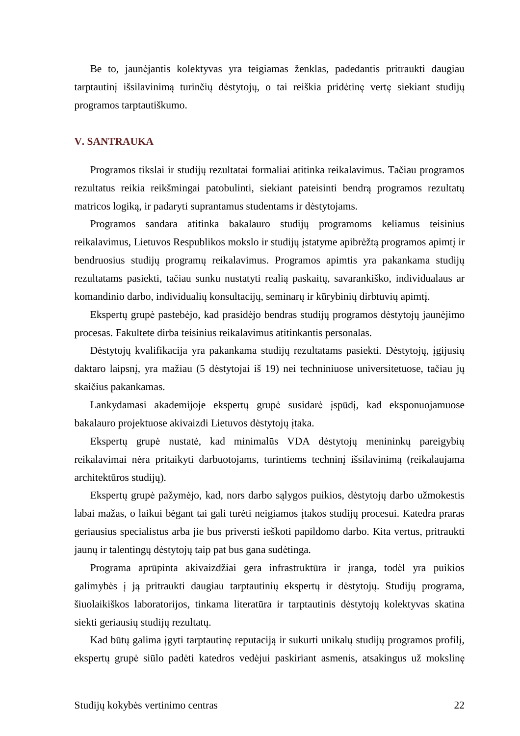Be to, jaunėjantis kolektyvas yra teigiamas ženklas, padedantis pritraukti daugiau tarptautinį išsilavinimą turinčių dėstytojų, o tai reiškia pridėtinę vertę siekiant studijų programos tarptautiškumo.

#### **V. SANTRAUKA**

Programos tikslai ir studijų rezultatai formaliai atitinka reikalavimus. Tačiau programos rezultatus reikia reikšmingai patobulinti, siekiant pateisinti bendrą programos rezultatų matricos logiką, ir padaryti suprantamus studentams ir dėstytojams.

Programos sandara atitinka bakalauro studijų programoms keliamus teisinius reikalavimus, Lietuvos Respublikos mokslo ir studijų įstatyme apibrėžtą programos apimtį ir bendruosius studijų programų reikalavimus. Programos apimtis yra pakankama studijų rezultatams pasiekti, tačiau sunku nustatyti realią paskaitų, savarankiško, individualaus ar komandinio darbo, individualių konsultacijų, seminarų ir kūrybinių dirbtuvių apimtį.

Ekspertų grupė pastebėjo, kad prasidėjo bendras studijų programos dėstytojų jaunėjimo procesas. Fakultete dirba teisinius reikalavimus atitinkantis personalas.

Dėstytojų kvalifikacija yra pakankama studijų rezultatams pasiekti. Dėstytojų, įgijusių daktaro laipsnį, yra mažiau (5 dėstytojai iš 19) nei techniniuose universitetuose, tačiau jų skaičius pakankamas.

Lankydamasi akademijoje ekspertų grupė susidarė įspūdį, kad eksponuojamuose bakalauro projektuose akivaizdi Lietuvos dėstytojų įtaka.

Ekspertų grupė nustatė, kad minimalūs VDA dėstytojų menininkų pareigybių reikalavimai nėra pritaikyti darbuotojams, turintiems techninį išsilavinimą (reikalaujama architektūros studijų).

Ekspertų grupė pažymėjo, kad, nors darbo sąlygos puikios, dėstytojų darbo užmokestis labai mažas, o laikui bėgant tai gali turėti neigiamos įtakos studijų procesui. Katedra praras geriausius specialistus arba jie bus priversti ieškoti papildomo darbo. Kita vertus, pritraukti jaunų ir talentingų dėstytojų taip pat bus gana sudėtinga.

Programa aprūpinta akivaizdžiai gera infrastruktūra ir įranga, todėl yra puikios galimybės į ją pritraukti daugiau tarptautinių ekspertų ir dėstytojų. Studijų programa, šiuolaikiškos laboratorijos, tinkama literatūra ir tarptautinis dėstytojų kolektyvas skatina siekti geriausių studijų rezultatų.

Kad būtų galima įgyti tarptautinę reputaciją ir sukurti unikalų studijų programos profilį, ekspertų grupė siūlo padėti katedros vedėjui paskiriant asmenis, atsakingus už mokslinę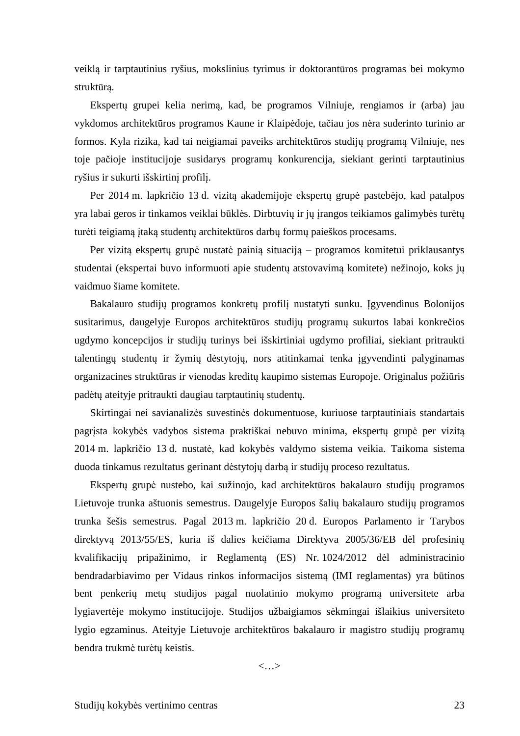veiklą ir tarptautinius ryšius, mokslinius tyrimus ir doktorantūros programas bei mokymo struktūrą.

Ekspertų grupei kelia nerimą, kad, be programos Vilniuje, rengiamos ir (arba) jau vykdomos architektūros programos Kaune ir Klaipėdoje, tačiau jos nėra suderinto turinio ar formos. Kyla rizika, kad tai neigiamai paveiks architektūros studijų programą Vilniuje, nes toje pačioje institucijoje susidarys programų konkurencija, siekiant gerinti tarptautinius ryšius ir sukurti išskirtinį profilį.

Per 2014 m. lapkričio 13 d. vizitą akademijoje ekspertų grupė pastebėjo, kad patalpos yra labai geros ir tinkamos veiklai būklės. Dirbtuvių ir jų įrangos teikiamos galimybės turėtų turėti teigiamą įtaką studentų architektūros darbų formų paieškos procesams.

Per vizitą ekspertų grupė nustatė painią situaciją – programos komitetui priklausantys studentai (ekspertai buvo informuoti apie studentų atstovavimą komitete) nežinojo, koks jų vaidmuo šiame komitete.

Bakalauro studijų programos konkretų profilį nustatyti sunku. Įgyvendinus Bolonijos susitarimus, daugelyje Europos architektūros studijų programų sukurtos labai konkrečios ugdymo koncepcijos ir studijų turinys bei išskirtiniai ugdymo profiliai, siekiant pritraukti talentingų studentų ir žymių dėstytojų, nors atitinkamai tenka įgyvendinti palyginamas organizacines struktūras ir vienodas kreditų kaupimo sistemas Europoje. Originalus požiūris padėtų ateityje pritraukti daugiau tarptautinių studentų.

Skirtingai nei savianalizės suvestinės dokumentuose, kuriuose tarptautiniais standartais pagrįsta kokybės vadybos sistema praktiškai nebuvo minima, ekspertų grupė per vizitą 2014 m. lapkričio 13 d. nustatė, kad kokybės valdymo sistema veikia. Taikoma sistema duoda tinkamus rezultatus gerinant dėstytojų darbą ir studijų proceso rezultatus.

Ekspertų grupė nustebo, kai sužinojo, kad architektūros bakalauro studijų programos Lietuvoje trunka aštuonis semestrus. Daugelyje Europos šalių bakalauro studijų programos trunka šešis semestrus. Pagal 2013 m. lapkričio 20 d. Europos Parlamento ir Tarybos direktyvą 2013/55/ES, kuria iš dalies keičiama Direktyva 2005/36/EB dėl profesinių kvalifikacijų pripažinimo, ir Reglamentą (ES) Nr. 1024/2012 dėl administracinio bendradarbiavimo per Vidaus rinkos informacijos sistemą (IMI reglamentas) yra būtinos bent penkerių metų studijos pagal nuolatinio mokymo programą universitete arba lygiavertėje mokymo institucijoje. Studijos užbaigiamos sėkmingai išlaikius universiteto lygio egzaminus. Ateityje Lietuvoje architektūros bakalauro ir magistro studijų programų bendra trukmė turėtų keistis.

<…>